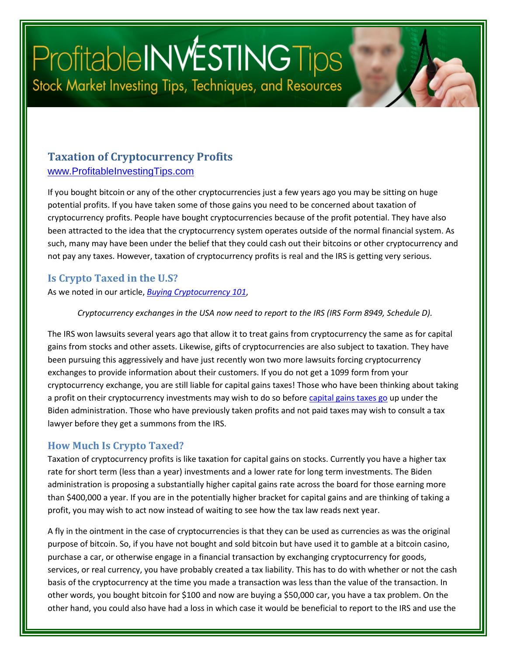# Profitable INVESTING Tips Stock Market Investing Tips, Techniques, and Resources

### **Taxation of Cryptocurrency Profits** [www.ProfitableInvestingTips.com](http://www.profitableinvestingtips.com/)

If you bought bitcoin or any of the other cryptocurrencies just a few years ago you may be sitting on huge potential profits. If you have taken some of those gains you need to be concerned about taxation of cryptocurrency profits. People have bought cryptocurrencies because of the profit potential. They have also been attracted to the idea that the cryptocurrency system operates outside of the normal financial system. As such, many may have been under the belief that they could cash out their bitcoins or other cryptocurrency and not pay any taxes. However, taxation of cryptocurrency profits is real and the IRS is getting very serious.

#### **Is Crypto Taxed in the U.S?**

As we noted in our article, *[Buying Cryptocurrency 101](https://profitableinvestingtips.com/profitable-investing-tips/buying-cryptocurrency-101)*,

#### *Cryptocurrency exchanges in the USA now need to report to the IRS (IRS Form 8949, Schedule D).*

The IRS won lawsuits several years ago that allow it to treat gains from cryptocurrency the same as for capital gains from stocks and other assets. Likewise, gifts of cryptocurrencies are also subject to taxation. They have been pursuing this aggressively and have just recently won two more lawsuits forcing cryptocurrency exchanges to provide information about their customers. If you do not get a 1099 form from your cryptocurrency exchange, you are still liable for capital gains taxes! Those who have been thinking about taking a profit on their cryptocurrency investments may wish to do so before [capital gains taxes go](https://profitableinvestingtips.com/profitable-investing-tips/will-higher-capital-gains-taxes-hurt-your-investments) up under the Biden administration. Those who have previously taken profits and not paid taxes may wish to consult a tax lawyer before they get a summons from the IRS.

#### **How Much Is Crypto Taxed?**

Taxation of cryptocurrency profits is like taxation for capital gains on stocks. Currently you have a higher tax rate for short term (less than a year) investments and a lower rate for long term investments. The Biden administration is proposing a substantially higher capital gains rate across the board for those earning more than \$400,000 a year. If you are in the potentially higher bracket for capital gains and are thinking of taking a profit, you may wish to act now instead of waiting to see how the tax law reads next year.

A fly in the ointment in the case of cryptocurrencies is that they can be used as currencies as was the original purpose of bitcoin. So, if you have not bought and sold bitcoin but have used it to gamble at a bitcoin casino, purchase a car, or otherwise engage in a financial transaction by exchanging cryptocurrency for goods, services, or real currency, you have probably created a tax liability. This has to do with whether or not the cash basis of the cryptocurrency at the time you made a transaction was less than the value of the transaction. In other words, you bought bitcoin for \$100 and now are buying a \$50,000 car, you have a tax problem. On the other hand, you could also have had a loss in which case it would be beneficial to report to the IRS and use the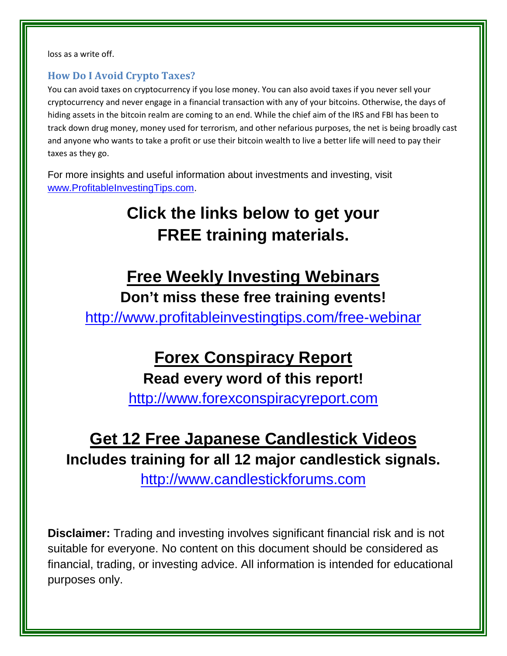loss as a write off.

### **How Do I Avoid Crypto Taxes?**

You can avoid taxes on cryptocurrency if you lose money. You can also avoid taxes if you never sell your cryptocurrency and never engage in a financial transaction with any of your bitcoins. Otherwise, the days of hiding assets in the bitcoin realm are coming to an end. While the chief aim of the IRS and FBI has been to track down drug money, money used for terrorism, and other nefarious purposes, the net is being broadly cast and anyone who wants to take a profit or use their bitcoin wealth to live a better life will need to pay their taxes as they go.

For more insights and useful information about investments and investing, visit [www.ProfitableInvestingTips.com.](http://www.profitableinvestingtips.com/)

## **Click the links below to get your FREE training materials.**

### **Free Weekly Investing Webinars**

### **Don't miss these free training events!**

<http://www.profitableinvestingtips.com/free-webinar>

# **Forex Conspiracy Report**

### **Read every word of this report!**

[http://www.forexconspiracyreport.com](http://www.forexconspiracyreport.com/)

### **Get 12 Free Japanese Candlestick Videos Includes training for all 12 major candlestick signals.**

[http://www.candlestickforums.com](http://www.candlestickforums.com/)

**Disclaimer:** Trading and investing involves significant financial risk and is not suitable for everyone. No content on this document should be considered as financial, trading, or investing advice. All information is intended for educational purposes only.